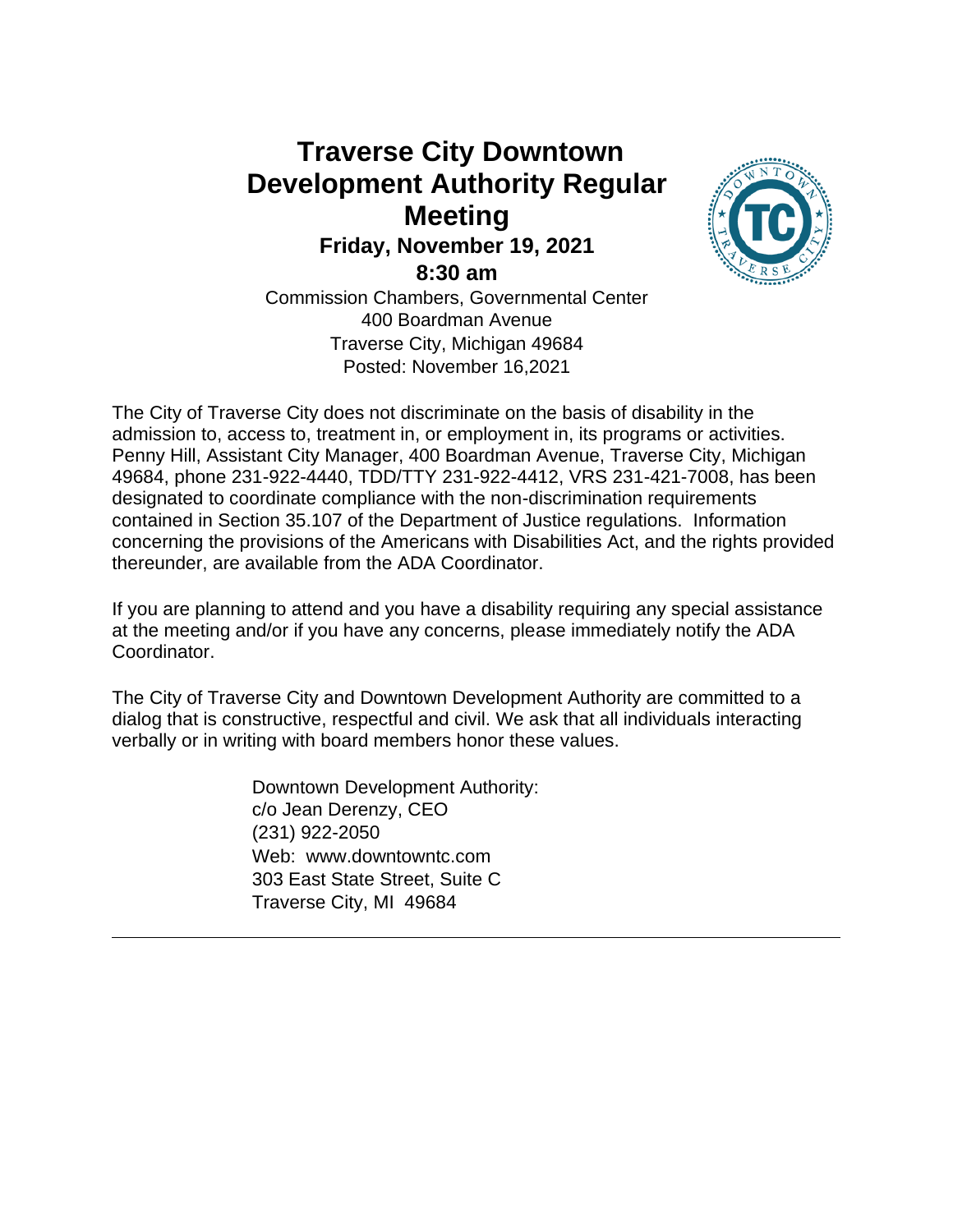# **Traverse City Downtown Development Authority Regular Meeting Friday, November 19, 2021 8:30 am**



Commission Chambers, Governmental Center 400 Boardman Avenue Traverse City, Michigan 49684 Posted: November 16,2021

The City of Traverse City does not discriminate on the basis of disability in the admission to, access to, treatment in, or employment in, its programs or activities. Penny Hill, Assistant City Manager, 400 Boardman Avenue, Traverse City, Michigan 49684, phone 231-922-4440, TDD/TTY 231-922-4412, VRS 231-421-7008, has been designated to coordinate compliance with the non-discrimination requirements contained in Section 35.107 of the Department of Justice regulations. Information concerning the provisions of the Americans with Disabilities Act, and the rights provided thereunder, are available from the ADA Coordinator.

If you are planning to attend and you have a disability requiring any special assistance at the meeting and/or if you have any concerns, please immediately notify the ADA Coordinator.

The City of Traverse City and Downtown Development Authority are committed to a dialog that is constructive, respectful and civil. We ask that all individuals interacting verbally or in writing with board members honor these values.

> Downtown Development Authority: c/o Jean Derenzy, CEO (231) 922-2050 Web: www.downtowntc.com 303 East State Street, Suite C Traverse City, MI 49684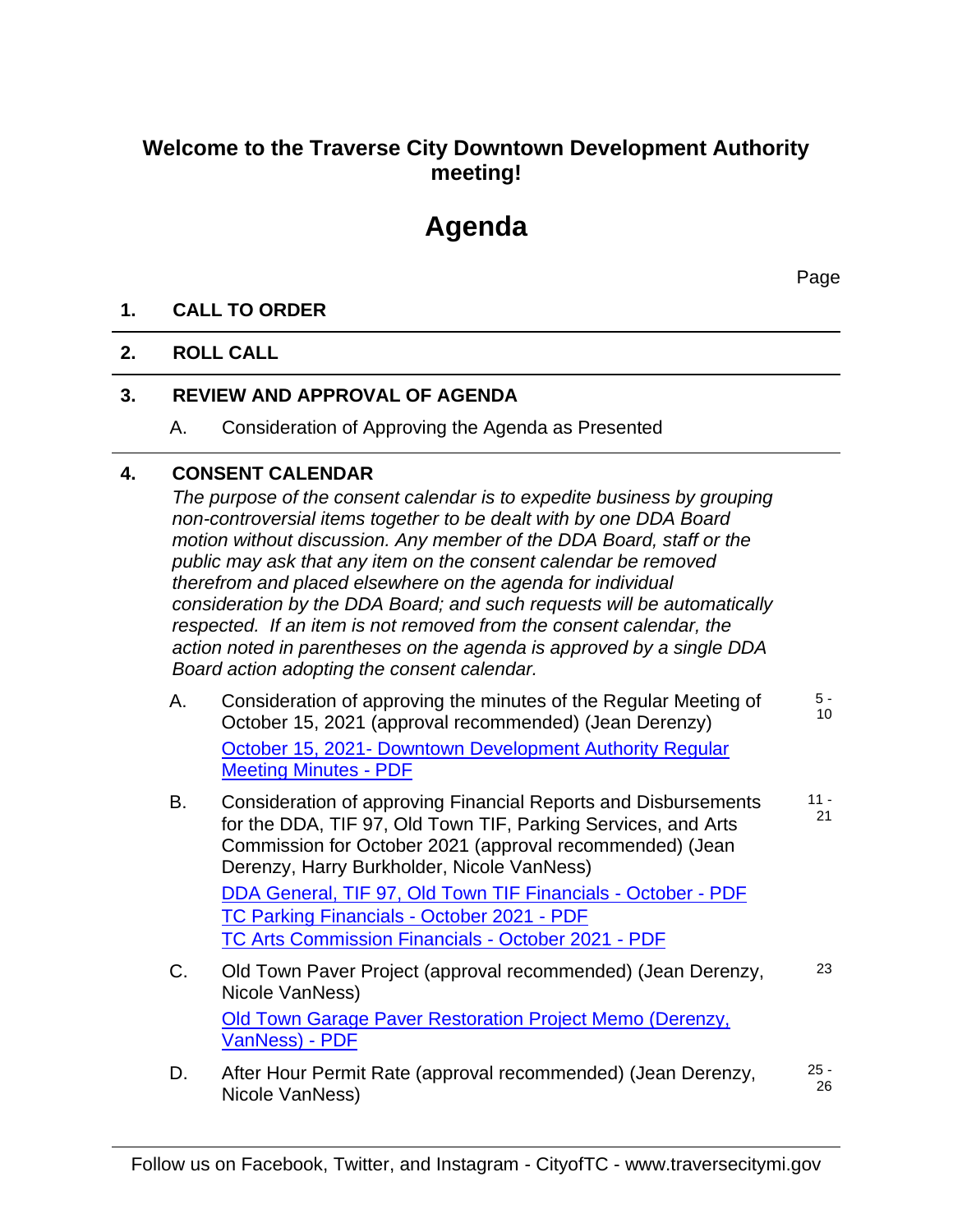## **Welcome to the Traverse City Downtown Development Authority meeting!**

# **Agenda**

Page

### **1. CALL TO ORDER**

#### **2. ROLL CALL**

## **3. REVIEW AND APPROVAL OF AGENDA**

A. Consideration of Approving the Agenda as Presented

## **4. CONSENT CALENDAR**

*The purpose of the consent calendar is to expedite business by grouping non-controversial items together to be dealt with by one DDA Board motion without discussion. Any member of the DDA Board, staff or the public may ask that any item on the consent calendar be removed therefrom and placed elsewhere on the agenda for individual consideration by the DDA Board; and such requests will be automatically respected. If an item is not removed from the consent calendar, the action noted in parentheses on the agenda is approved by a single DDA Board action adopting the consent calendar.*

- A. Consideration of approving the minutes of the Regular Meeting of October 15, 2021 (approval recommended) (Jean Derenzy) October 15, 2021- Downtown Development Authority Regular Meeting Minutes - PDF 5 - 10
- B. Consideration of approving Financial Reports and Disbursements for the DDA, TIF 97, Old Town TIF, Parking Services, and Arts Commission for October 2021 (approval recommended) (Jean Derenzy, Harry Burkholder, Nicole VanNess) DDA General, TIF 97, Old Town TIF Financials - October - PDF TC Parking Financials - October 2021 - PDF TC Arts Commission Financials - October 2021 - PDF 11 - 21
- C. Old Town Paver Project (approval recommended) (Jean Derenzy, Nicole VanNess) Old Town Garage Paver Restoration Project Memo (Derenzy, VanNess) - PDF 23
- D. After Hour Permit Rate (approval recommended) (Jean Derenzy, Nicole VanNess) 25 - 26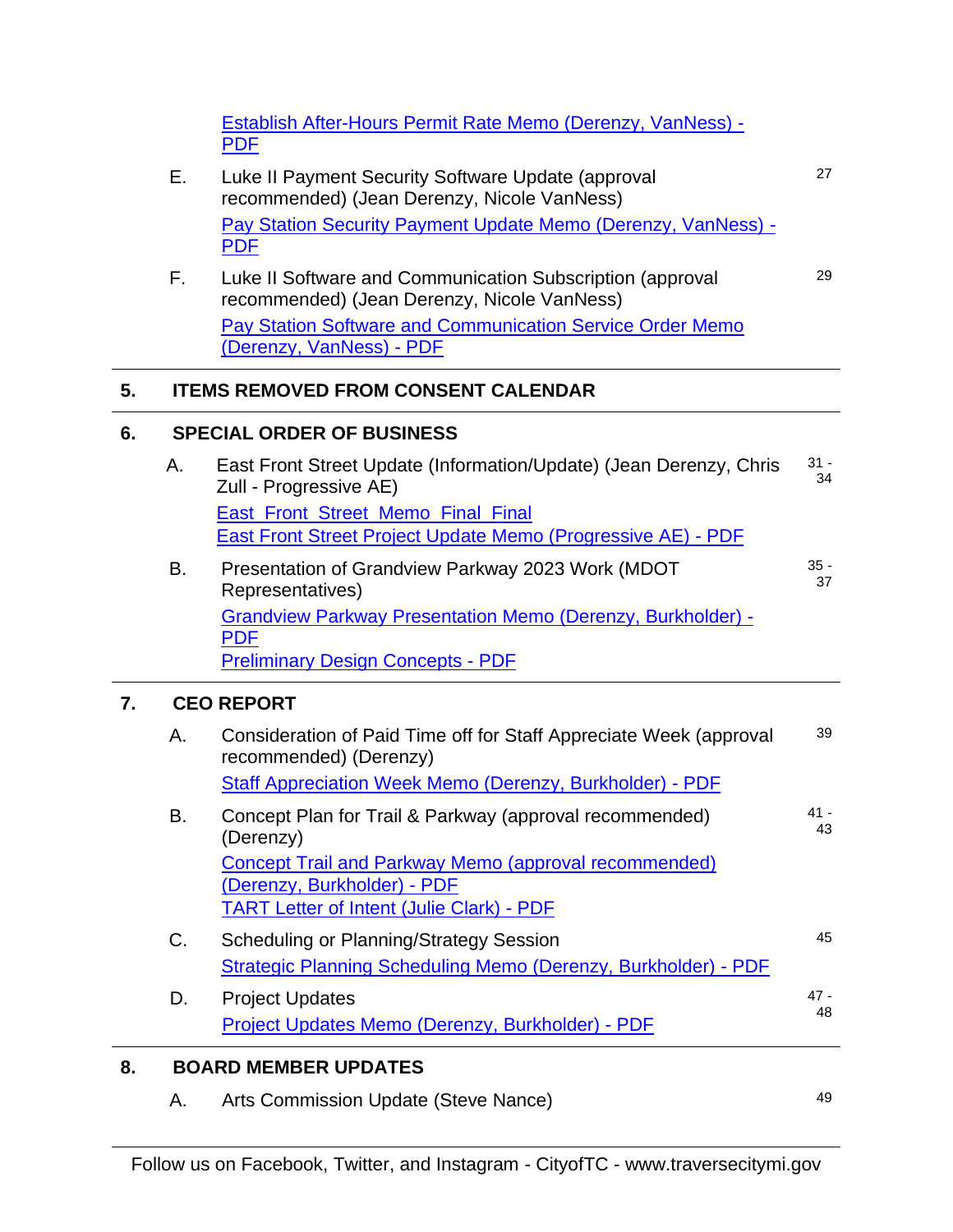|    |    | <b>Establish After-Hours Permit Rate Memo (Derenzy, VanNess) -</b><br><b>PDF</b>                                                                |              |
|----|----|-------------------------------------------------------------------------------------------------------------------------------------------------|--------------|
|    | Е. | Luke II Payment Security Software Update (approval<br>recommended) (Jean Derenzy, Nicole VanNess)                                               | 27           |
|    |    | Pay Station Security Payment Update Memo (Derenzy, VanNess) -<br><b>PDF</b>                                                                     |              |
|    | F. | Luke II Software and Communication Subscription (approval<br>recommended) (Jean Derenzy, Nicole VanNess)                                        | 29           |
|    |    | <b>Pay Station Software and Communication Service Order Memo</b><br>(Derenzy, VanNess) - PDF                                                    |              |
| 5. |    | <b>ITEMS REMOVED FROM CONSENT CALENDAR</b>                                                                                                      |              |
| 6. |    | <b>SPECIAL ORDER OF BUSINESS</b>                                                                                                                |              |
|    | А. | East Front Street Update (Information/Update) (Jean Derenzy, Chris<br>Zull - Progressive AE)                                                    | $31 -$<br>34 |
|    |    | East_Front_Street_Memo_Final_Final<br><b>East Front Street Project Update Memo (Progressive AE) - PDF</b>                                       |              |
|    | Β. | Presentation of Grandview Parkway 2023 Work (MDOT<br>Representatives)                                                                           | $35 -$<br>37 |
|    |    | <b>Grandview Parkway Presentation Memo (Derenzy, Burkholder) -</b><br><b>PDF</b><br><b>Preliminary Design Concepts - PDF</b>                    |              |
| 7. |    | <b>CEO REPORT</b>                                                                                                                               |              |
|    | Α. | Consideration of Paid Time off for Staff Appreciate Week (approval<br>recommended) (Derenzy)                                                    | 39           |
|    |    | Staff Appreciation Week Memo (Derenzy, Burkholder) - PDF                                                                                        |              |
|    | В. | Concept Plan for Trail & Parkway (approval recommended)<br>(Derenzy)                                                                            | 41 -<br>43   |
|    |    | <b>Concept Trail and Parkway Memo (approval recommended)</b><br>(Derenzy, Burkholder) - PDF<br><b>TART Letter of Intent (Julie Clark) - PDF</b> |              |
|    | C. | <b>Scheduling or Planning/Strategy Session</b>                                                                                                  | 45           |
|    |    | <b>Strategic Planning Scheduling Memo (Derenzy, Burkholder) - PDF</b>                                                                           |              |
|    | D. | <b>Project Updates</b>                                                                                                                          | 47 -<br>48   |
|    |    | Project Updates Memo (Derenzy, Burkholder) - PDF                                                                                                |              |
| 8. |    | <b>BOARD MEMBER UPDATES</b>                                                                                                                     |              |
|    | А. | Arts Commission Update (Steve Nance)                                                                                                            | 49           |